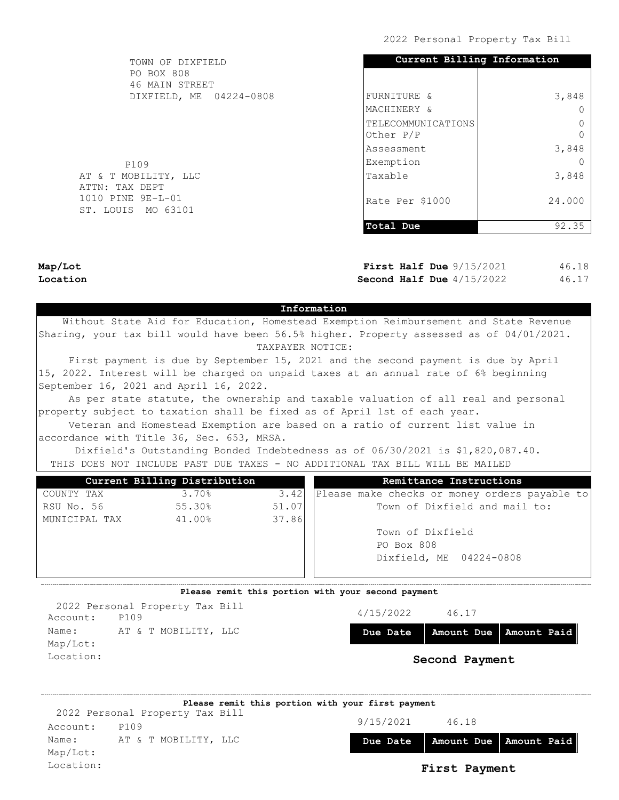| TOWN OF DIXFIELD                        | Current Billing Information     |        |  |  |
|-----------------------------------------|---------------------------------|--------|--|--|
| <b>PO BOX 808</b><br>46 MAIN STREET     |                                 |        |  |  |
| DIXFIELD, ME 04224-0808                 | FURNITURE &                     | 3,848  |  |  |
|                                         | MACHINERY &                     |        |  |  |
|                                         | TELECOMMUNICATIONS<br>Other P/P |        |  |  |
|                                         | Assessment                      | 3,848  |  |  |
| P109                                    | Exemption                       |        |  |  |
| AT & T MOBILITY, LLC<br>ATTN: TAX DEPT  | Taxable                         | 3,848  |  |  |
| 1010 PINE 9E-L-01<br>ST. LOUIS MO 63101 | Rate Per \$1000                 | 24,000 |  |  |
|                                         | Total Due                       | 92.35  |  |  |

Map/Lot Location

First Half Due  $9/15/2021$ Second Half Due  $4/15/2022$ 46.18 46.17

### Information

 Without State Aid for Education, Homestead Exemption Reimbursement and State Revenue Sharing, your tax bill would have been 56.5% higher. Property assessed as of 04/01/2021. TAXPAYER NOTICE:

 First payment is due by September 15, 2021 and the second payment is due by April 15, 2022. Interest will be charged on unpaid taxes at an annual rate of 6% beginning September 16, 2021 and April 16, 2022.

 As per state statute, the ownership and taxable valuation of all real and personal property subject to taxation shall be fixed as of April 1st of each year.

 Veteran and Homestead Exemption are based on a ratio of current list value in accordance with Title 36, Sec. 653, MRSA.

 Dixfield's Outstanding Bonded Indebtedness as of 06/30/2021 is \$1,820,087.40. THIS DOES NOT INCLUDE PAST DUE TAXES - NO ADDITIONAL TAX BILL WILL BE MAILED

|               | Current Billing Distribution |       | Remittance Instructions                       |  |  |  |
|---------------|------------------------------|-------|-----------------------------------------------|--|--|--|
| COUNTY TAX    | 3.70%                        | 3.42  | Please make checks or money orders payable to |  |  |  |
| RSU No. 56    | 55.30%                       | 51.07 | Town of Dixfield and mail to:                 |  |  |  |
| MUNICIPAL TAX | 41.00%                       | 37.86 |                                               |  |  |  |
|               |                              |       | Town of Dixfield                              |  |  |  |
|               |                              |       | PO Box 808                                    |  |  |  |
|               |                              |       | Dixfield, ME 04224-0808                       |  |  |  |
|               |                              |       |                                               |  |  |  |
|               |                              |       |                                               |  |  |  |

### Please remit this portion with your second payment

Account: P109 Name: AT & T MOBILITY, LLC Map/Lot: Location: 2022 Personal Property Tax Bill

| 4/15/2022<br>46.17 |  |
|--------------------|--|
|--------------------|--|

Due Date | Amount Due | Amount Paid

|           |                                 | Please remit this portion with your first payment |           |               |                          |
|-----------|---------------------------------|---------------------------------------------------|-----------|---------------|--------------------------|
|           | 2022 Personal Property Tax Bill |                                                   |           |               |                          |
| Account:  | P109                            |                                                   | 9/15/2021 | 46.18         |                          |
| Name:     | AT & T MOBILITY, LLC            |                                                   | Due Date  |               | Amount Due   Amount Paid |
| Map/Lot:  |                                 |                                                   |           |               |                          |
| Location: |                                 |                                                   |           | First Payment |                          |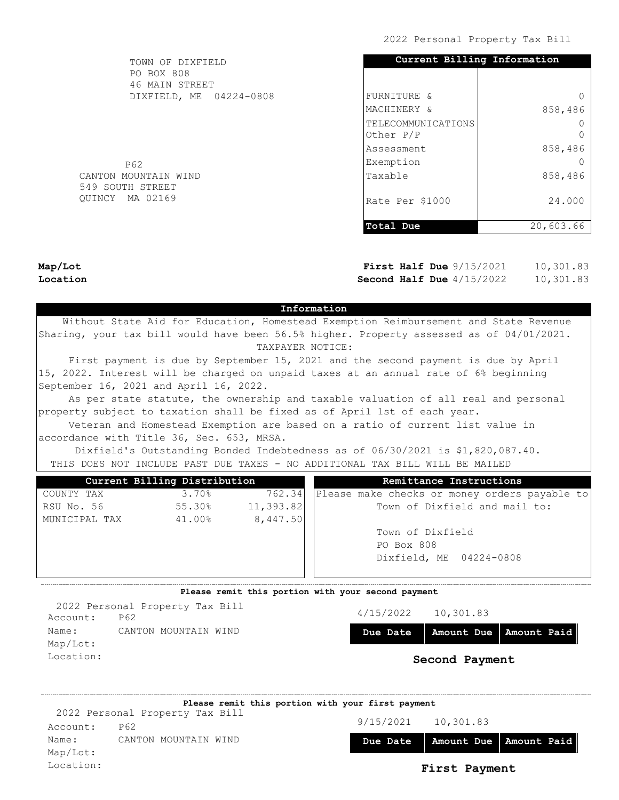| TOWN OF DIXFIELD                         | Current Billing Information     |           |
|------------------------------------------|---------------------------------|-----------|
| PO BOX 808<br>46 MAIN STREET             |                                 |           |
| DIXFIELD, ME 04224-0808                  | FURNITURE &                     |           |
|                                          | MACHINERY &                     | 858,486   |
|                                          | TELECOMMUNICATIONS<br>Other P/P |           |
|                                          | Assessment                      | 858,486   |
| P62                                      | Exemption                       |           |
| CANTON MOUNTAIN WIND<br>549 SOUTH STREET | Taxable                         | 858,486   |
| QUINCY MA 02169                          | Rate Per \$1000                 | 24.000    |
|                                          | Total Due                       | 20,603.66 |

Map/Lot Location

First Half Due  $9/15/2021$ Second Half Due  $4/15/2022$ 10,301.83 10,301.83

### Information

 Without State Aid for Education, Homestead Exemption Reimbursement and State Revenue Sharing, your tax bill would have been 56.5% higher. Property assessed as of 04/01/2021. TAXPAYER NOTICE:

 First payment is due by September 15, 2021 and the second payment is due by April 15, 2022. Interest will be charged on unpaid taxes at an annual rate of 6% beginning September 16, 2021 and April 16, 2022.

 As per state statute, the ownership and taxable valuation of all real and personal property subject to taxation shall be fixed as of April 1st of each year.

 Veteran and Homestead Exemption are based on a ratio of current list value in accordance with Title 36, Sec. 653, MRSA.

 Dixfield's Outstanding Bonded Indebtedness as of 06/30/2021 is \$1,820,087.40. THIS DOES NOT INCLUDE PAST DUE TAXES - NO ADDITIONAL TAX BILL WILL BE MAILED

|               | Current Billing Distribution |            | Remittance Instructions                       |
|---------------|------------------------------|------------|-----------------------------------------------|
| COUNTY TAX    | 3.70%                        | 762.34     | Please make checks or money orders payable to |
| RSU No. 56    | 55.30%                       | 11, 393.82 | Town of Dixfield and mail to:                 |
| MUNICIPAL TAX | 41.00%                       | 8,447.50   |                                               |
|               |                              |            | Town of Dixfield                              |
|               |                              |            | PO Box 808                                    |
|               |                              |            | Dixfield, ME 04224-0808                       |
|               |                              |            |                                               |
|               |                              |            |                                               |

#### Please remit this portion with your second payment

Account: P62 Name: CANTON MOUNTAIN WIND Map/Lot: Location: 2022 Personal Property Tax Bill

| 4/15/2022 | 10,301.83 |
|-----------|-----------|
|-----------|-----------|

Due Date | Amount Due | Amount Paid

|           |                                 | Please remit this portion with your first payment |           |               |                          |
|-----------|---------------------------------|---------------------------------------------------|-----------|---------------|--------------------------|
|           | 2022 Personal Property Tax Bill |                                                   |           |               |                          |
| Account:  | P62                             |                                                   | 9/15/2021 | 10,301.83     |                          |
| Name:     | CANTON MOUNTAIN WIND            |                                                   | Due Date  |               | Amount Due   Amount Paid |
| Map/Lot:  |                                 |                                                   |           |               |                          |
| Location: |                                 |                                                   |           | First Payment |                          |
|           |                                 |                                                   |           |               |                          |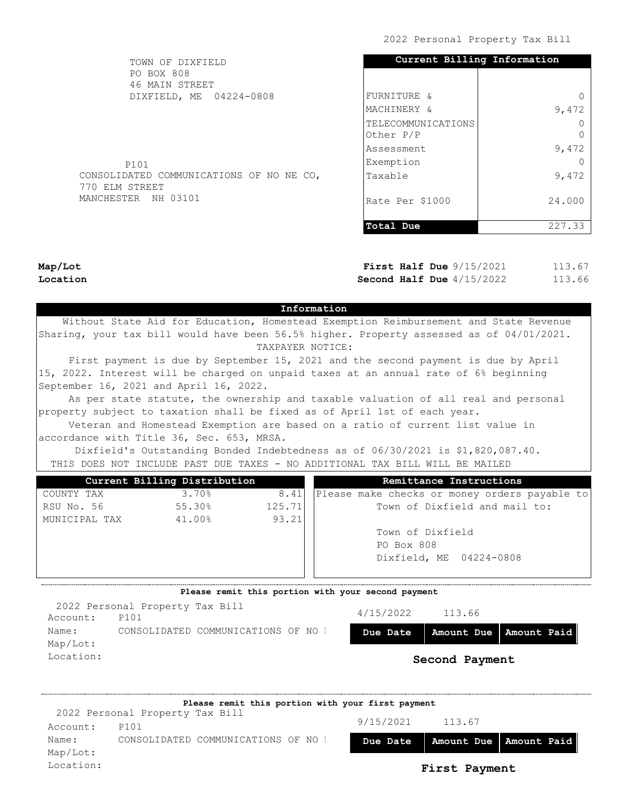| TOWN OF DIXFIELD<br>PO BOX 808           | Current Billing Information |        |
|------------------------------------------|-----------------------------|--------|
| 46 MAIN STREET                           |                             |        |
| DIXFIELD, ME 04224-0808                  | FURNITURE &                 |        |
|                                          | MACHINERY &                 | 9,472  |
|                                          | TELECOMMUNICATIONS          |        |
|                                          | Other P/P                   |        |
|                                          | lAssessment                 | 9,472  |
| P101                                     | Exemption                   |        |
| CONSOLIDATED COMMUNICATIONS OF NO NE CO, | Taxable                     | 9,472  |
| 770 ELM STREET                           |                             |        |
| MANCHESTER NH 03101                      | lRate Per \$1000            | 24.000 |
|                                          |                             |        |
|                                          | Total Due                   | 227.33 |

Map/Lot Location

First Half Due  $9/15/2021$ Second Half Due  $4/15/2022$ 113.67 113.66

### Information

 Without State Aid for Education, Homestead Exemption Reimbursement and State Revenue Sharing, your tax bill would have been 56.5% higher. Property assessed as of 04/01/2021. TAXPAYER NOTICE:

 First payment is due by September 15, 2021 and the second payment is due by April 15, 2022. Interest will be charged on unpaid taxes at an annual rate of 6% beginning September 16, 2021 and April 16, 2022.

 As per state statute, the ownership and taxable valuation of all real and personal property subject to taxation shall be fixed as of April 1st of each year.

 Veteran and Homestead Exemption are based on a ratio of current list value in accordance with Title 36, Sec. 653, MRSA.

 Dixfield's Outstanding Bonded Indebtedness as of 06/30/2021 is \$1,820,087.40. THIS DOES NOT INCLUDE PAST DUE TAXES - NO ADDITIONAL TAX BILL WILL BE MAILED

|               | Current Billing Distribution |        | Remittance Instructions                       |  |  |  |
|---------------|------------------------------|--------|-----------------------------------------------|--|--|--|
| COUNTY TAX    | 3.70%                        | 8.41   | Please make checks or money orders payable to |  |  |  |
| RSU No. 56    | 55.30%                       | 125.71 | Town of Dixfield and mail to:                 |  |  |  |
| MUNICIPAL TAX | 41.00%                       | 93.21  |                                               |  |  |  |
|               |                              |        | Town of Dixfield                              |  |  |  |
|               |                              |        | PO Box 808                                    |  |  |  |
|               |                              |        | Dixfield, ME 04224-0808                       |  |  |  |
|               |                              |        |                                               |  |  |  |
|               |                              |        |                                               |  |  |  |

### Please remit this portion with your second payment

|           | 2022 Personal Property Tax Bill |                                     |           |                |                                     |
|-----------|---------------------------------|-------------------------------------|-----------|----------------|-------------------------------------|
| Account:  | P101                            |                                     | 4/15/2022 | 113.66         |                                     |
| Name:     |                                 | CONSOLIDATED COMMUNICATIONS OF NO 1 |           |                | Due Date   Amount Due   Amount Paid |
| Map/Lot:  |                                 |                                     |           |                |                                     |
| Location: |                                 |                                     |           | Second Payment |                                     |
|           |                                 |                                     |           |                |                                     |

9/15/2021 113.67 Due Date | Amount Due | Amount Paid Account: P101 Name: CONSOLIDATED COMMUNICATIONS OF NO NET Map/Lot: Location: First Payment Please remit this portion with your first payment 2022 Personal Property Tax Bill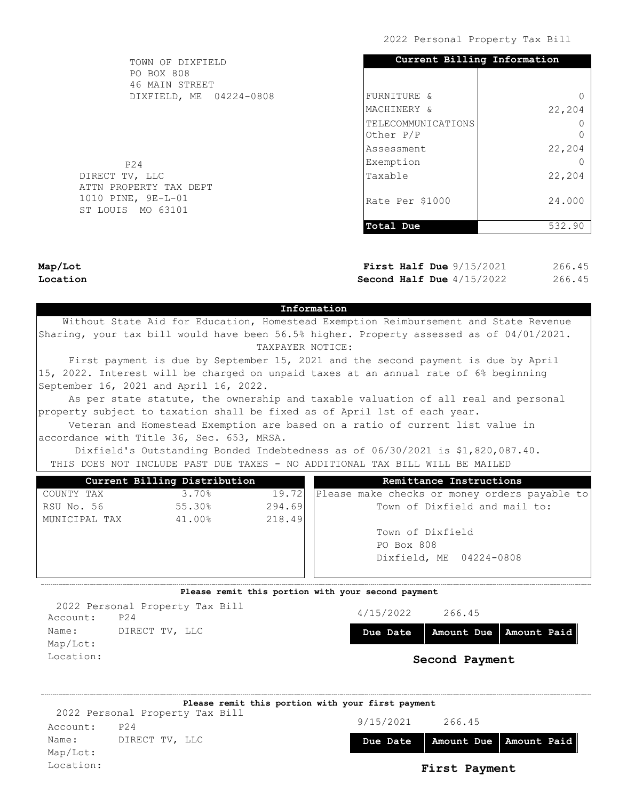| TOWN OF DIXFIELD<br>PO BOX 808           | Current Billing Information     |        |
|------------------------------------------|---------------------------------|--------|
| 46 MAIN STREET                           |                                 |        |
| DIXFIELD, ME 04224-0808                  | FURNITURE &                     |        |
|                                          | MACHINERY &                     | 22,204 |
|                                          | TELECOMMUNICATIONS<br>Other P/P |        |
|                                          | lAssessment                     | 22,204 |
| P24                                      | Exemption                       |        |
| DIRECT TV, LLC<br>ATTN PROPERTY TAX DEPT | Taxable                         | 22,204 |
| 1010 PINE, 9E-L-01<br>ST LOUIS MO 63101  | Rate Per \$1000                 | 24,000 |
|                                          | Total Due                       | 532.90 |

Map/Lot Location

First Half Due  $9/15/2021$ Second Half Due  $4/15/2022$ 266.45 266.45

### Information

 Without State Aid for Education, Homestead Exemption Reimbursement and State Revenue Sharing, your tax bill would have been 56.5% higher. Property assessed as of 04/01/2021. TAXPAYER NOTICE:

 First payment is due by September 15, 2021 and the second payment is due by April 15, 2022. Interest will be charged on unpaid taxes at an annual rate of 6% beginning September 16, 2021 and April 16, 2022.

 As per state statute, the ownership and taxable valuation of all real and personal property subject to taxation shall be fixed as of April 1st of each year.

 Veteran and Homestead Exemption are based on a ratio of current list value in accordance with Title 36, Sec. 653, MRSA.

 Dixfield's Outstanding Bonded Indebtedness as of 06/30/2021 is \$1,820,087.40. THIS DOES NOT INCLUDE PAST DUE TAXES - NO ADDITIONAL TAX BILL WILL BE MAILED

|               | Current Billing Distribution |        | Remittance Instructions                       |
|---------------|------------------------------|--------|-----------------------------------------------|
| COUNTY TAX    | 3.70%                        | 19.72  | Please make checks or money orders payable to |
| RSU No. 56    | 55.30%                       | 294.69 | Town of Dixfield and mail to:                 |
| MUNICIPAL TAX | 41.00%                       | 218.49 |                                               |
|               |                              |        | Town of Dixfield                              |
|               |                              |        | PO Box 808                                    |
|               |                              |        | Dixfield, ME 04224-0808                       |
|               |                              |        |                                               |

### Please remit this portion with your second payment

4/15/2022 266.45 Due Date | Amount Due | Amount Paid Second Payment Account: P24 Name: DIRECT TV, LLC Map/Lot: Location: 2022 Personal Property Tax Bill

9/15/2021 266.45 Due Date Amount Due Amount Paid Account: P24 Name: DIRECT TV, LLC Map/Lot: Location: First Payment Please remit this portion with your first payment 2022 Personal Property Tax Bill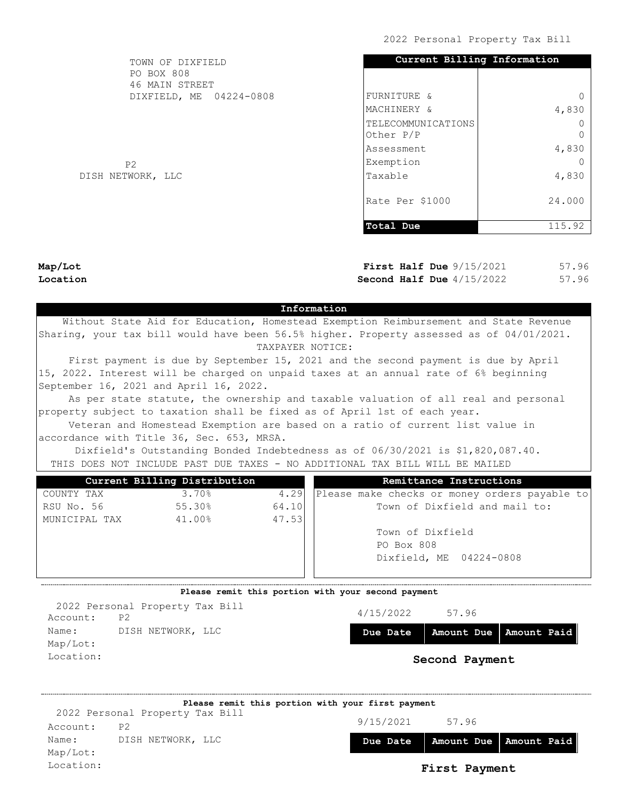| TOWN OF DIXFIELD             | Current Billing Information     |          |
|------------------------------|---------------------------------|----------|
| PO BOX 808<br>46 MAIN STREET |                                 |          |
| DIXFIELD, ME 04224-0808      | FURNITURE &                     |          |
|                              | MACHINERY &                     | 4,830    |
|                              | TELECOMMUNICATIONS<br>Other P/P | $\Omega$ |
|                              | lAssessment                     | 4,830    |
| P <sub>2</sub>               | Exemption                       |          |
| DISH NETWORK, LLC            | Taxable                         | 4,830    |
|                              | Rate Per \$1000                 | 24.000   |
|                              | Total Due                       | 115.92   |

Map/Lot Location

First Half Due  $9/15/2021$ Second Half Due  $4/15/2022$ 57.96 57.96

## Information

 Without State Aid for Education, Homestead Exemption Reimbursement and State Revenue Sharing, your tax bill would have been 56.5% higher. Property assessed as of 04/01/2021. TAXPAYER NOTICE:

 First payment is due by September 15, 2021 and the second payment is due by April 15, 2022. Interest will be charged on unpaid taxes at an annual rate of 6% beginning September 16, 2021 and April 16, 2022.

 As per state statute, the ownership and taxable valuation of all real and personal property subject to taxation shall be fixed as of April 1st of each year.

 Veteran and Homestead Exemption are based on a ratio of current list value in accordance with Title 36, Sec. 653, MRSA.

 Dixfield's Outstanding Bonded Indebtedness as of 06/30/2021 is \$1,820,087.40. THIS DOES NOT INCLUDE PAST DUE TAXES - NO ADDITIONAL TAX BILL WILL BE MAILED

| Please make checks or money orders payable to |
|-----------------------------------------------|
|                                               |
|                                               |
|                                               |
|                                               |
|                                               |
|                                               |
|                                               |

### Please remit this portion with your second payment

4/15/2022 57.96 Due Date | Amount Due | Amount Paid Second Payment Account: P2 Name: DISH NETWORK, LLC Map/Lot: Location: 2022 Personal Property Tax Bill

|           | Please remit this portion with your first payment |           |               |                          |
|-----------|---------------------------------------------------|-----------|---------------|--------------------------|
|           | 2022 Personal Property Tax Bill                   |           |               |                          |
| Account:  | P <sub>2</sub>                                    | 9/15/2021 | 57.96         |                          |
| Name:     | DISH NETWORK, LLC                                 | Due Date  |               | Amount Due   Amount Paid |
| Map/Lot:  |                                                   |           |               |                          |
| Location: |                                                   |           | First Payment |                          |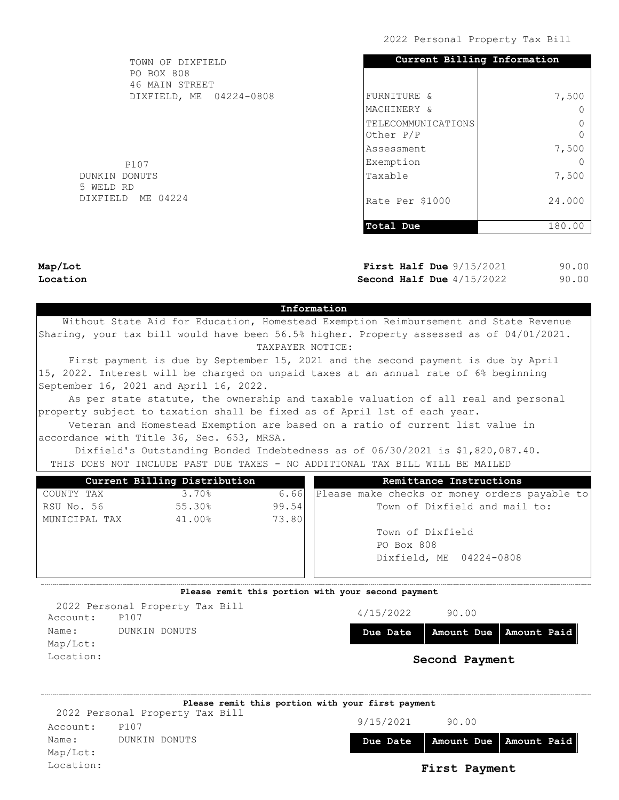| FURNITURE &<br>MACHINERY & | 7,500  |
|----------------------------|--------|
|                            |        |
|                            |        |
|                            |        |
| TELECOMMUNICATIONS         |        |
| Other P/P                  |        |
| lAssessment                | 7,500  |
| Exemption                  |        |
| Taxable                    | 7,500  |
| Rate Per \$1000            | 24.000 |
| Total Due                  | 180.00 |
|                            |        |

Map/Lot Location

First Half Due  $9/15/2021$ Second Half Due  $4/15/2022$ 90.00 90.00

# Information

 Without State Aid for Education, Homestead Exemption Reimbursement and State Revenue Sharing, your tax bill would have been 56.5% higher. Property assessed as of 04/01/2021. TAXPAYER NOTICE:

 First payment is due by September 15, 2021 and the second payment is due by April 15, 2022. Interest will be charged on unpaid taxes at an annual rate of 6% beginning September 16, 2021 and April 16, 2022.

 As per state statute, the ownership and taxable valuation of all real and personal property subject to taxation shall be fixed as of April 1st of each year.

 Veteran and Homestead Exemption are based on a ratio of current list value in accordance with Title 36, Sec. 653, MRSA.

 Dixfield's Outstanding Bonded Indebtedness as of 06/30/2021 is \$1,820,087.40. THIS DOES NOT INCLUDE PAST DUE TAXES - NO ADDITIONAL TAX BILL WILL BE MAILED

|               | Current Billing Distribution |       | Remittance Instructions                       |
|---------------|------------------------------|-------|-----------------------------------------------|
| COUNTY TAX    | 3.70%                        | 6.66  | Please make checks or money orders payable to |
| RSU No. 56    | 55.30%                       | 99.54 | Town of Dixfield and mail to:                 |
| MUNICIPAL TAX | 41.00%                       | 73.80 |                                               |
|               |                              |       | Town of Dixfield                              |
|               |                              |       | PO Box 808                                    |
|               |                              |       | Dixfield, ME 04224-0808                       |
|               |                              |       |                                               |
|               |                              |       |                                               |

### Please remit this portion with your second payment

4/15/2022 90.00 Due Date | Amount Due | Amount Paid Second Payment Account: P107 Name: DUNKIN DONUTS Map/Lot: Location: 2022 Personal Property Tax Bill

|           |                                 | Please remit this portion with your first payment |           |                          |  |
|-----------|---------------------------------|---------------------------------------------------|-----------|--------------------------|--|
|           | 2022 Personal Property Tax Bill |                                                   |           |                          |  |
| Account:  | P107                            |                                                   | 9/15/2021 | 90.00                    |  |
| Name:     | DUNKIN DONUTS                   |                                                   | Due Date  | Amount Due   Amount Paid |  |
| Map/Lot:  |                                 |                                                   |           |                          |  |
| Location: |                                 |                                                   |           | First Payment            |  |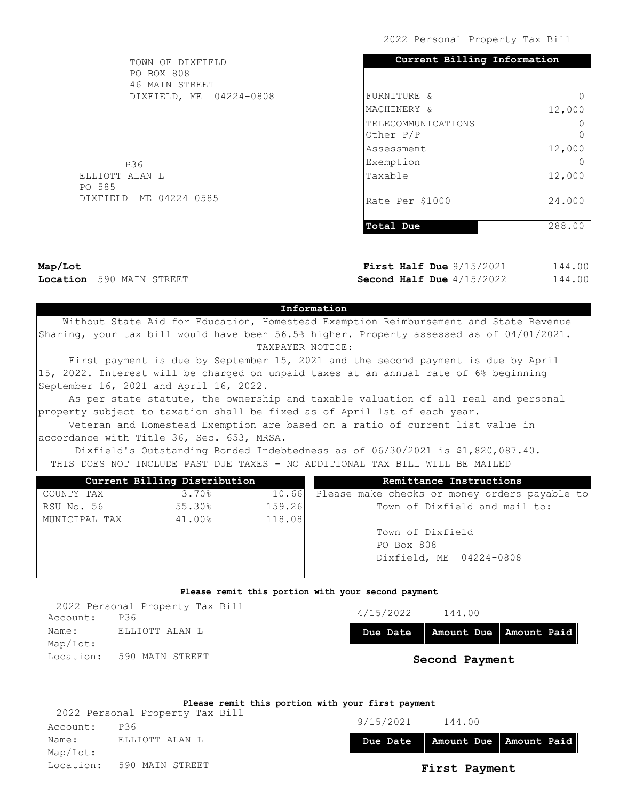| TOWN OF DIXFIELD             | Current Billing Information       |          |
|------------------------------|-----------------------------------|----------|
| PO BOX 808<br>46 MAIN STREET |                                   |          |
| DIXFIELD, ME 04224-0808      | FURNITURE &                       | $\Omega$ |
|                              | MACHINERY &                       | 12,000   |
|                              | TELECOMMUNICATIONS<br>Other $P/P$ | $\Omega$ |
|                              | lAssessment                       | 12,000   |
| P36                          | Exemption                         | 0        |
| ELLIOTT ALAN L<br>PO 585     | Taxable                           | 12,000   |
| DIXFIELD ME 04224 0585       | Rate Per \$1000                   | 24.000   |
|                              | Total Due                         | 288.00   |

Map/Lot Location 590 MAIN STREET

First Half Due  $9/15/2021$ Second Half Due  $4/15/2022$ 144.00 144.00

## Information

 Without State Aid for Education, Homestead Exemption Reimbursement and State Revenue Sharing, your tax bill would have been 56.5% higher. Property assessed as of 04/01/2021. TAXPAYER NOTICE:

 First payment is due by September 15, 2021 and the second payment is due by April 15, 2022. Interest will be charged on unpaid taxes at an annual rate of 6% beginning September 16, 2021 and April 16, 2022.

 As per state statute, the ownership and taxable valuation of all real and personal property subject to taxation shall be fixed as of April 1st of each year.

 Veteran and Homestead Exemption are based on a ratio of current list value in accordance with Title 36, Sec. 653, MRSA.

 Dixfield's Outstanding Bonded Indebtedness as of 06/30/2021 is \$1,820,087.40. THIS DOES NOT INCLUDE PAST DUE TAXES - NO ADDITIONAL TAX BILL WILL BE MAILED

|               | Current Billing Distribution |        | Remittance Instructions                       |
|---------------|------------------------------|--------|-----------------------------------------------|
| COUNTY TAX    | 3.70%                        | 10.66  | Please make checks or money orders payable to |
| RSU No. 56    | 55.30%                       | 159.26 | Town of Dixfield and mail to:                 |
| MUNICIPAL TAX | 41.00%                       | 118.08 |                                               |
|               |                              |        | Town of Dixfield                              |
|               |                              |        | PO Box 808                                    |
|               |                              |        | Dixfield, ME 04224-0808                       |
|               |                              |        |                                               |
|               |                              |        |                                               |

#### Please remit this portion with your second payment

Account: P36 Name: ELLIOTT ALAN L Map/Lot: Location: 590 MAIN STREET 2022 Personal Property Tax Bill

4/15/2022 144.00

Due Date | Amount Due | Amount Paid

|          | Please remit this portion with your first payment |           |               |                          |
|----------|---------------------------------------------------|-----------|---------------|--------------------------|
|          | 2022 Personal Property Tax Bill                   |           |               |                          |
| Account: | P36                                               | 9/15/2021 | 144.00        |                          |
| Name:    | ELLIOTT ALAN L                                    | Due Date  |               | Amount Due   Amount Paid |
| Map/Lot: |                                                   |           |               |                          |
|          | Location: 590 MAIN STREET                         |           | First Payment |                          |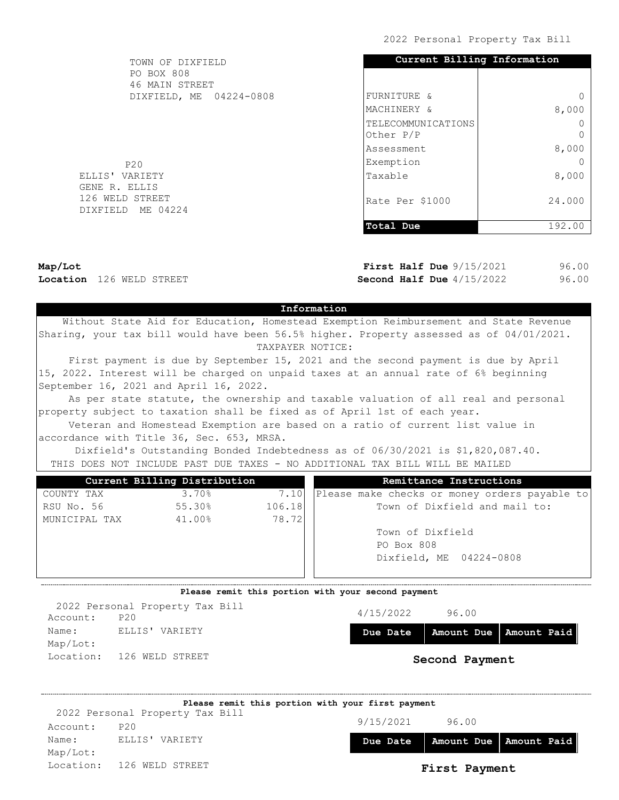| TOWN OF DIXFIELD                          | Current Billing Information |         |
|-------------------------------------------|-----------------------------|---------|
| PO BOX 808                                |                             |         |
| 46 MAIN STREET<br>DIXFIELD, ME 04224-0808 | FURNITURE &                 | 0       |
|                                           |                             |         |
|                                           | MACHINERY &                 | 8,000   |
|                                           | TELECOMMUNICATIONS          |         |
|                                           | Other P/P                   | $\circ$ |
|                                           | lAssessment                 | 8,000   |
| P20                                       | Exemption                   | 0       |
| ELLIS' VARIETY                            | Taxable                     | 8,000   |
| GENE R. ELLIS                             |                             |         |
| 126 WELD STREET                           | Rate Per \$1000             | 24.000  |
| DIXFIELD ME 04224                         |                             |         |
|                                           | Total Due                   | 192.00  |

Map/Lot Location 126 WELD STREET First Half Due  $9/15/2021$ Second Half Due  $4/15/2022$ 96.00 96.00

# Information

 Without State Aid for Education, Homestead Exemption Reimbursement and State Revenue Sharing, your tax bill would have been 56.5% higher. Property assessed as of 04/01/2021. TAXPAYER NOTICE:

 First payment is due by September 15, 2021 and the second payment is due by April 15, 2022. Interest will be charged on unpaid taxes at an annual rate of 6% beginning September 16, 2021 and April 16, 2022.

 As per state statute, the ownership and taxable valuation of all real and personal property subject to taxation shall be fixed as of April 1st of each year.

 Veteran and Homestead Exemption are based on a ratio of current list value in accordance with Title 36, Sec. 653, MRSA.

 Dixfield's Outstanding Bonded Indebtedness as of 06/30/2021 is \$1,820,087.40. THIS DOES NOT INCLUDE PAST DUE TAXES - NO ADDITIONAL TAX BILL WILL BE MAILED

|        | Remittance Instructions                       |
|--------|-----------------------------------------------|
| 7.10   | Please make checks or money orders payable to |
| 106.18 | Town of Dixfield and mail to:                 |
| 78.72  |                                               |
|        | Town of Dixfield                              |
|        | PO Box 808                                    |
|        | Dixfield, ME 04224-0808                       |
|        |                                               |
|        |                                               |

### Please remit this portion with your second payment

4/15/2022 96.00 Due Date | Amount Due | Amount Paid Second Payment Account: P20 Name: ELLIS' VARIETY Map/Lot: Location: 126 WELD STREET 2022 Personal Property Tax Bill

|          |                                 | Please remit this portion with your first payment |           |                          |  |
|----------|---------------------------------|---------------------------------------------------|-----------|--------------------------|--|
|          | 2022 Personal Property Tax Bill |                                                   |           |                          |  |
| Account: | P20                             |                                                   | 9/15/2021 | 96.00                    |  |
| Name:    | ELLIS' VARIETY                  |                                                   | Due Date  | Amount Due   Amount Paid |  |
| Map/Lot: |                                 |                                                   |           |                          |  |
|          | Location: 126 WELD STREET       |                                                   |           | First Payment            |  |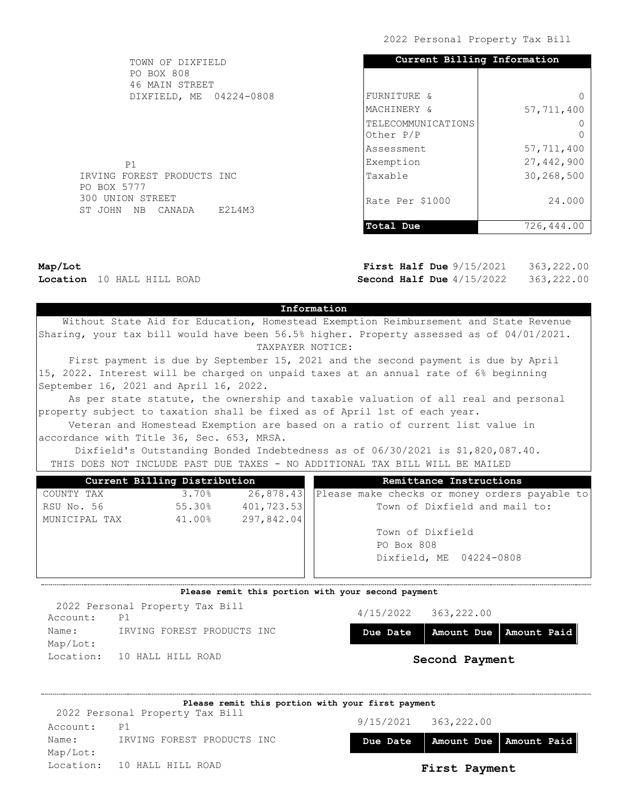| TOWN OF DIXFIELD           |        | Current Billing Information |              |
|----------------------------|--------|-----------------------------|--------------|
| <b>PO BOX 808</b>          |        |                             |              |
| 46 MAIN STREET             |        |                             |              |
| DIXFIELD, ME 04224-0808    |        | FURNITURE &                 | $\Omega$     |
|                            |        | MACHINERY &                 | 57,711,400   |
|                            |        | TELECOMMUNICATIONS          | $\Omega$     |
|                            |        | Other P/P                   | $\Omega$     |
|                            |        | Assessment                  | 57,711,400   |
| <b>P1</b>                  |        | Exemption                   | 27, 442, 900 |
| IRVING FOREST PRODUCTS INC |        | Taxable                     | 30,268,500   |
| PO BOX 5777                |        |                             |              |
| 300 UNION STREET           |        | Rate Per \$1000             | 24,000       |
| ST JOHN NB CANADA          | E2L4M3 |                             |              |
|                            |        | Total Due                   | 726,444.00   |

Map/Lot Location 10 HALL HILL ROAD

First Half Due  $9/15/2021$ Second Half Due  $4/15/2022$ 363,222.00 363,222.00

## Information

 Without State Aid for Education, Homestead Exemption Reimbursement and State Revenue Sharing, your tax bill would have been 56.5% higher. Property assessed as of 04/01/2021. TAXPAYER NOTICE:

 First payment is due by September 15, 2021 and the second payment is due by April 15, 2022. Interest will be charged on unpaid taxes at an annual rate of 6% beginning September 16, 2021 and April 16, 2022.

 As per state statute, the ownership and taxable valuation of all real and personal property subject to taxation shall be fixed as of April 1st of each year.

 Veteran and Homestead Exemption are based on a ratio of current list value in accordance with Title 36, Sec. 653, MRSA.

 Dixfield's Outstanding Bonded Indebtedness as of 06/30/2021 is \$1,820,087.40. THIS DOES NOT INCLUDE PAST DUE TAXES - NO ADDITIONAL TAX BILL WILL BE MAILED

| Current Billing Distribution |        |             | Remittance Instructions                       |
|------------------------------|--------|-------------|-----------------------------------------------|
| COUNTY TAX                   | 3.70%  | 26,878.43   | Please make checks or money orders payable to |
| RSU No. 56                   | 55.30% | 401, 723.53 | Town of Dixfield and mail to:                 |
| MUNICIPAL TAX                | 41.00% | 297,842.04  |                                               |
|                              |        |             | Town of Dixfield                              |
|                              |        |             | PO Box 808                                    |
|                              |        |             | Dixfield, ME 04224-0808                       |
|                              |        |             |                                               |

#### Please remit this portion with your second payment

4/15/2022 363,222.00 Due Date | Amount Due | Amount Paid Second Payment Account: P1 Name: IRVING FOREST PRODUCTS INC Map/Lot: Location: 10 HALL HILL ROAD 2022 Personal Property Tax Bill

|          | Please remit this portion with your first payment |          |                          |                          |  |  |  |
|----------|---------------------------------------------------|----------|--------------------------|--------------------------|--|--|--|
|          | 2022 Personal Property Tax Bill                   |          | $9/15/2021$ $363,222.00$ |                          |  |  |  |
| Account: | P1                                                |          |                          |                          |  |  |  |
| Name:    | IRVING FOREST PRODUCTS INC                        | Due Date |                          | Amount Due   Amount Paid |  |  |  |
| Map/Lot: |                                                   |          |                          |                          |  |  |  |
|          | Location: 10 HALL HILL ROAD                       |          | First Payment            |                          |  |  |  |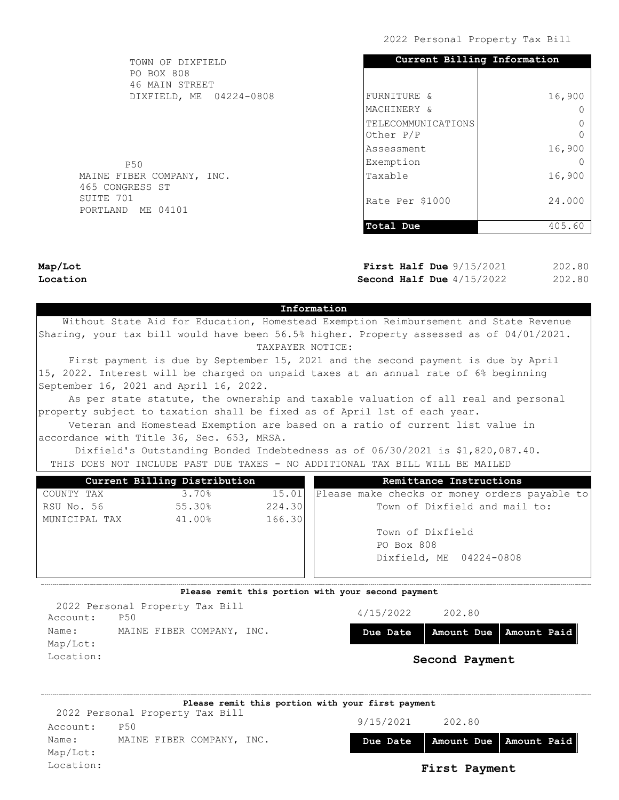| TOWN OF DIXFIELD                             | Current Billing Information |        |
|----------------------------------------------|-----------------------------|--------|
| <b>PO BOX 808</b><br>46 MAIN STREET          |                             |        |
| DIXFIELD, ME 04224-0808                      | FURNITURE &                 | 16,900 |
|                                              | MACHINERY &                 |        |
|                                              | TELECOMMUNICATIONS          |        |
|                                              | Other P/P                   |        |
|                                              | lAssessment                 | 16,900 |
| P50                                          | Exemption                   |        |
| MAINE FIBER COMPANY, INC.<br>465 CONGRESS ST | Taxable                     | 16,900 |
| SUITE 701<br>PORTLAND ME 04101               | Rate Per \$1000             | 24,000 |
|                                              | Total Due                   | 405.60 |
|                                              |                             |        |

Map/Lot Location

First Half Due  $9/15/2021$ Second Half Due  $4/15/2022$ 202.80 202.80

## Information

 Without State Aid for Education, Homestead Exemption Reimbursement and State Revenue Sharing, your tax bill would have been 56.5% higher. Property assessed as of 04/01/2021. TAXPAYER NOTICE:

 First payment is due by September 15, 2021 and the second payment is due by April 15, 2022. Interest will be charged on unpaid taxes at an annual rate of 6% beginning September 16, 2021 and April 16, 2022.

 As per state statute, the ownership and taxable valuation of all real and personal property subject to taxation shall be fixed as of April 1st of each year.

 Veteran and Homestead Exemption are based on a ratio of current list value in accordance with Title 36, Sec. 653, MRSA.

 Dixfield's Outstanding Bonded Indebtedness as of 06/30/2021 is \$1,820,087.40. THIS DOES NOT INCLUDE PAST DUE TAXES - NO ADDITIONAL TAX BILL WILL BE MAILED

|               | Current Billing Distribution |        | Remittance Instructions                       |
|---------------|------------------------------|--------|-----------------------------------------------|
| COUNTY TAX    | 3.70%                        | 15.01  | Please make checks or money orders payable to |
| RSU No. 56    | 55.30%                       | 224.30 | Town of Dixfield and mail to:                 |
| MUNICIPAL TAX | 41.00%                       | 166.30 |                                               |
|               |                              |        | Town of Dixfield                              |
|               |                              |        | PO Box 808                                    |
|               |                              |        | Dixfield, ME 04224-0808                       |
|               |                              |        |                                               |

### Please remit this portion with your second payment

4/15/2022 202.80 Due Date | Amount Due | Amount Paid Second Payment Account: P50 Name: MAINE FIBER COMPANY, INC. Map/Lot: Location: 2022 Personal Property Tax Bill

|           | Please remit this portion with your first payment |           |               |                          |
|-----------|---------------------------------------------------|-----------|---------------|--------------------------|
|           | 2022 Personal Property Tax Bill                   |           |               |                          |
| Account:  | <b>P50</b>                                        | 9/15/2021 | 202.80        |                          |
| Name:     | MAINE FIBER COMPANY, INC.                         | Due Date  |               | Amount Due   Amount Paid |
| Map/Lot:  |                                                   |           |               |                          |
| Location: |                                                   |           | First Payment |                          |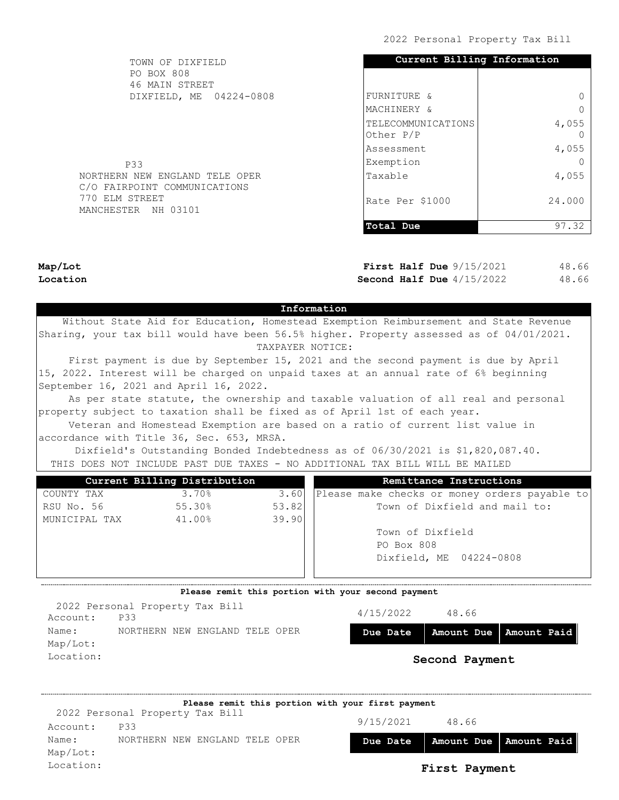| TOWN OF DIXFIELD                                               | Current Billing Information     |        |  |
|----------------------------------------------------------------|---------------------------------|--------|--|
| PO BOX 808<br>46 MAIN STREET                                   |                                 |        |  |
| DIXFIELD, ME 04224-0808                                        | FURNITURE &                     |        |  |
|                                                                | MACHINERY &                     |        |  |
|                                                                | TELECOMMUNICATIONS<br>Other P/P | 4,055  |  |
|                                                                | Assessment                      | 4,055  |  |
| <b>P33</b>                                                     | Exemption                       |        |  |
| NORTHERN NEW ENGLAND TELE OPER<br>C/O FAIRPOINT COMMUNICATIONS | Taxable                         | 4,055  |  |
| 770 ELM STREET<br>MANCHESTER NH 03101                          | Rate Per \$1000                 | 24,000 |  |
|                                                                | Total Due                       | 97.32  |  |

Map/Lot Location

First Half Due  $9/15/2021$ Second Half Due  $4/15/2022$ 48.66 48.66

### Information

 Without State Aid for Education, Homestead Exemption Reimbursement and State Revenue Sharing, your tax bill would have been 56.5% higher. Property assessed as of 04/01/2021. TAXPAYER NOTICE:

 First payment is due by September 15, 2021 and the second payment is due by April 15, 2022. Interest will be charged on unpaid taxes at an annual rate of 6% beginning September 16, 2021 and April 16, 2022.

 As per state statute, the ownership and taxable valuation of all real and personal property subject to taxation shall be fixed as of April 1st of each year.

 Veteran and Homestead Exemption are based on a ratio of current list value in accordance with Title 36, Sec. 653, MRSA.

 Dixfield's Outstanding Bonded Indebtedness as of 06/30/2021 is \$1,820,087.40. THIS DOES NOT INCLUDE PAST DUE TAXES - NO ADDITIONAL TAX BILL WILL BE MAILED

|               | Current Billing Distribution |       | Remittance Instructions                         |
|---------------|------------------------------|-------|-------------------------------------------------|
| COUNTY TAX    | 3.70%                        | 3.60  | [Please make checks or money orders payable to] |
| RSU No. 56    | 55.30%                       | 53.82 | Town of Dixfield and mail to:                   |
| MUNICIPAL TAX | 41.00%                       | 39.90 |                                                 |
|               |                              |       | Town of Dixfield                                |
|               |                              |       | PO Box 808                                      |
|               |                              |       | Dixfield, ME 04224-0808                         |
|               |                              |       |                                                 |

### Please remit this portion with your second payment

| 2022 Personal Property Tax Bill<br><b>P33</b><br>Account: | 4/15/2022 | 48.66          |                                     |
|-----------------------------------------------------------|-----------|----------------|-------------------------------------|
| NORTHERN NEW ENGLAND TELE OPER<br>Name:<br>Map/Lot:       |           |                | Due Date   Amount Due   Amount Paid |
| Location:                                                 |           | Second Payment |                                     |

|           | Please remit this portion with your first payment |           |               |                          |
|-----------|---------------------------------------------------|-----------|---------------|--------------------------|
|           | 2022 Personal Property Tax Bill                   | 9/15/2021 | 48.66         |                          |
| Account:  | <b>P33</b>                                        |           |               |                          |
| Name:     | NORTHERN NEW ENGLAND TELE OPER                    | Due Date  |               | Amount Due   Amount Paid |
| Map/Lot:  |                                                   |           |               |                          |
| Location: |                                                   |           | First Payment |                          |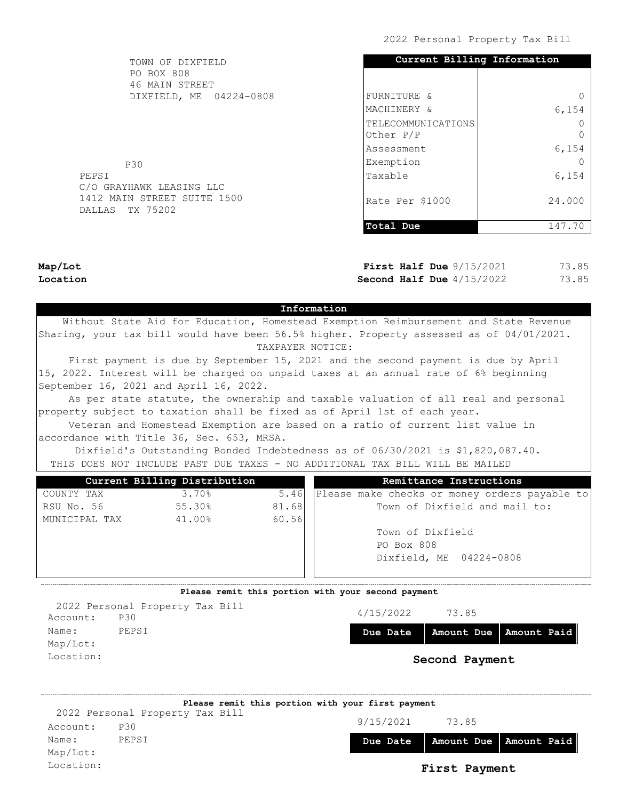| TOWN OF DIXFIELD                               | Current Billing Information     |        |  |  |
|------------------------------------------------|---------------------------------|--------|--|--|
| <b>PO BOX 808</b><br>46 MAIN STREET            |                                 |        |  |  |
| DIXFIELD, ME 04224-0808                        | FURNITURE &                     |        |  |  |
|                                                | MACHINERY &                     | 6,154  |  |  |
|                                                | TELECOMMUNICATIONS<br>Other P/P |        |  |  |
|                                                | Assessment                      | 6,154  |  |  |
| <b>P30</b>                                     | Exemption                       |        |  |  |
| PEPSI<br>C/O GRAYHAWK LEASING LLC              | Taxable                         | 6,154  |  |  |
| 1412 MAIN STREET SUITE 1500<br>DALLAS TX 75202 | Rate Per \$1000                 | 24,000 |  |  |
|                                                | Total Due                       | 147.70 |  |  |

Map/Lot Location

First Half Due  $9/15/2021$ Second Half Due  $4/15/2022$ 73.85 73.85

## Information

 Without State Aid for Education, Homestead Exemption Reimbursement and State Revenue Sharing, your tax bill would have been 56.5% higher. Property assessed as of 04/01/2021. TAXPAYER NOTICE:

 First payment is due by September 15, 2021 and the second payment is due by April 15, 2022. Interest will be charged on unpaid taxes at an annual rate of 6% beginning September 16, 2021 and April 16, 2022.

 As per state statute, the ownership and taxable valuation of all real and personal property subject to taxation shall be fixed as of April 1st of each year.

 Veteran and Homestead Exemption are based on a ratio of current list value in accordance with Title 36, Sec. 653, MRSA.

 Dixfield's Outstanding Bonded Indebtedness as of 06/30/2021 is \$1,820,087.40. THIS DOES NOT INCLUDE PAST DUE TAXES - NO ADDITIONAL TAX BILL WILL BE MAILED

|               | Current Billing Distribution |       | Remittance Instructions                         |
|---------------|------------------------------|-------|-------------------------------------------------|
| COUNTY TAX    | 3.70%                        | 5.46  | [Please make checks or money orders payable to] |
| RSU No. 56    | 55.30%                       | 81.68 | Town of Dixfield and mail to:                   |
| MUNICIPAL TAX | 41.00%                       | 60.56 |                                                 |
|               |                              |       | Town of Dixfield                                |
|               |                              |       | PO Box 808                                      |
|               |                              |       | Dixfield, ME 04224-0808                         |
|               |                              |       |                                                 |

### Please remit this portion with your second payment

4/15/2022 73.85 Due Date | Amount Due | Amount Paid Second Payment Account: P30 Name: PEPSI Map/Lot: Location: 2022 Personal Property Tax Bill

|           | Please remit this portion with your first payment |           |               |                          |
|-----------|---------------------------------------------------|-----------|---------------|--------------------------|
|           | 2022 Personal Property Tax Bill                   |           |               |                          |
| Account:  | <b>P30</b>                                        | 9/15/2021 | 73.85         |                          |
| Name:     | PEPSI                                             | Due Date  |               | Amount Due   Amount Paid |
| Map/Lot:  |                                                   |           |               |                          |
| Location: |                                                   |           | First Payment |                          |
|           |                                                   |           |               |                          |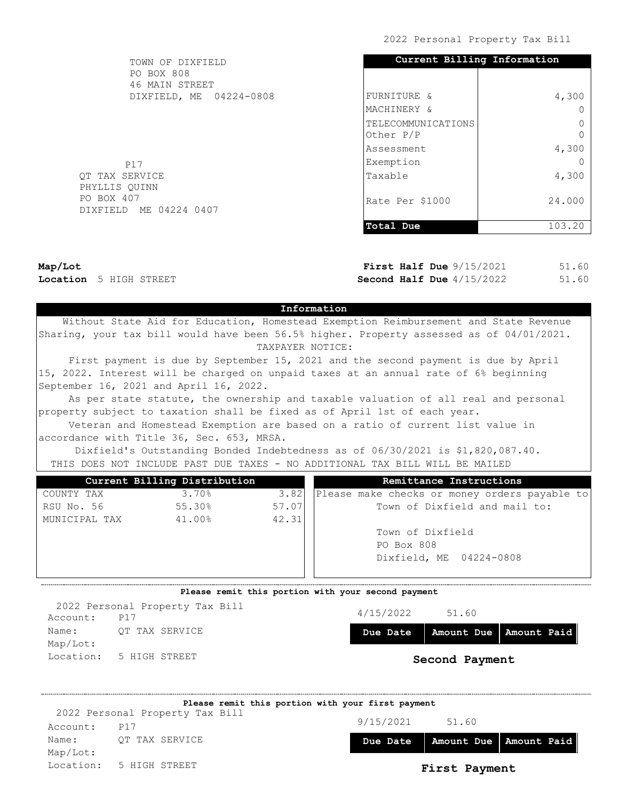| TOWN OF DIXFIELD                     | Current Billing Information     |        |  |
|--------------------------------------|---------------------------------|--------|--|
| PO BOX 808<br>46 MAIN STREET         |                                 |        |  |
| DIXFIELD, ME 04224-0808              | FURNITURE &                     | 4,300  |  |
|                                      | MACHINERY &                     |        |  |
|                                      | TELECOMMUNICATIONS<br>Other P/P |        |  |
|                                      | Assessment                      | 4,300  |  |
| P17                                  | Exemption                       |        |  |
| QT TAX SERVICE<br>PHYLLIS QUINN      | Taxable                         | 4,300  |  |
| PO BOX 407<br>DIXFIELD ME 04224 0407 | Rate Per \$1000                 | 24.000 |  |
|                                      | Total Due                       | 103.20 |  |

Map/Lot Location 5 HIGH STREET First Half Due  $9/15/2021$ Second Half Due  $4/15/2022$ 51.60 51.60

# Information

 Without State Aid for Education, Homestead Exemption Reimbursement and State Revenue Sharing, your tax bill would have been 56.5% higher. Property assessed as of 04/01/2021. TAXPAYER NOTICE:

 First payment is due by September 15, 2021 and the second payment is due by April 15, 2022. Interest will be charged on unpaid taxes at an annual rate of 6% beginning September 16, 2021 and April 16, 2022.

 As per state statute, the ownership and taxable valuation of all real and personal property subject to taxation shall be fixed as of April 1st of each year.

 Veteran and Homestead Exemption are based on a ratio of current list value in accordance with Title 36, Sec. 653, MRSA.

 Dixfield's Outstanding Bonded Indebtedness as of 06/30/2021 is \$1,820,087.40. THIS DOES NOT INCLUDE PAST DUE TAXES - NO ADDITIONAL TAX BILL WILL BE MAILED

|       | Remittance Instructions                       |
|-------|-----------------------------------------------|
| 3.82  | Please make checks or money orders payable to |
| 57.07 | Town of Dixfield and mail to:                 |
| 42.31 |                                               |
|       | Town of Dixfield                              |
|       | PO Box 808                                    |
|       | Dixfield, ME 04224-0808                       |
|       |                                               |
|       |                                               |

### Please remit this portion with your second payment

4/15/2022 51.60 Due Date | Amount Due | Amount Paid Second Payment Account: P17 Name: OT TAX SERVICE Map/Lot: Location: 5 HIGH STREET 2022 Personal Property Tax Bill

|          | Please remit this portion with your first payment |           |                          |  |
|----------|---------------------------------------------------|-----------|--------------------------|--|
|          | 2022 Personal Property Tax Bill                   |           |                          |  |
| Account: | <b>P17</b>                                        | 9/15/2021 | 51.60                    |  |
| Name:    | OT TAX SERVICE                                    | Due Date  | Amount Due   Amount Paid |  |
| Map/Lot: |                                                   |           |                          |  |
|          | Location: 5 HIGH STREET                           |           | First Payment            |  |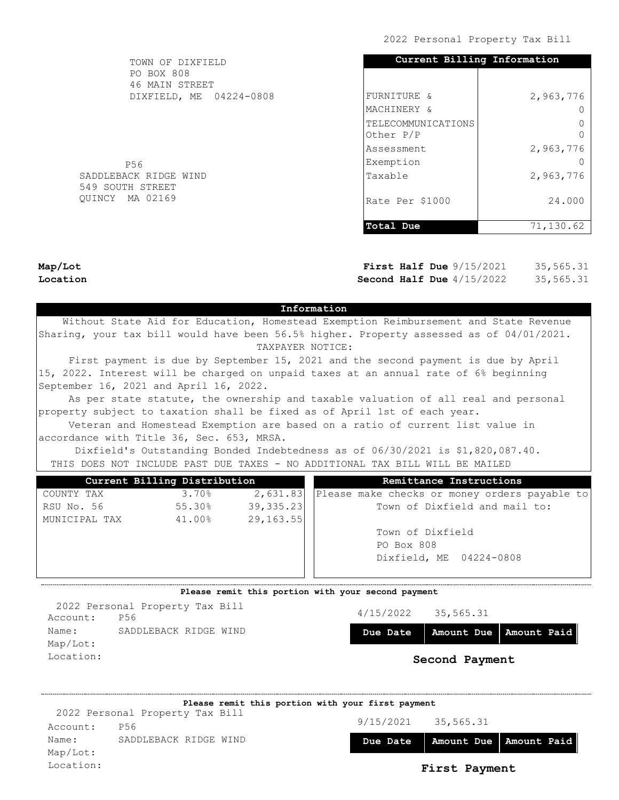| TOWN OF DIXFIELD                          | Current Billing Information     |           |  |  |
|-------------------------------------------|---------------------------------|-----------|--|--|
| PO BOX 808<br>46 MAIN STREET              |                                 |           |  |  |
| DIXFIELD, ME 04224-0808                   | FURNITURE &                     | 2,963,776 |  |  |
|                                           | MACHINERY &                     |           |  |  |
|                                           | TELECOMMUNICATIONS<br>Other P/P |           |  |  |
|                                           | lAssessment                     | 2,963,776 |  |  |
| P56                                       | Exemption                       |           |  |  |
| SADDLEBACK RIDGE WIND<br>549 SOUTH STREET | Taxable                         | 2,963,776 |  |  |
| OUINCY MA 02169                           | Rate Per \$1000                 | 24.000    |  |  |
|                                           | Total Due                       | 71,130.62 |  |  |

Map/Lot Location

 $QU$ 

First Half Due  $9/15/2021$ Second Half Due  $4/15/2022$ 35,565.31 35,565.31

### Information

 Without State Aid for Education, Homestead Exemption Reimbursement and State Revenue Sharing, your tax bill would have been 56.5% higher. Property assessed as of 04/01/2021. TAXPAYER NOTICE:

 First payment is due by September 15, 2021 and the second payment is due by April 15, 2022. Interest will be charged on unpaid taxes at an annual rate of 6% beginning September 16, 2021 and April 16, 2022.

 As per state statute, the ownership and taxable valuation of all real and personal property subject to taxation shall be fixed as of April 1st of each year.

 Veteran and Homestead Exemption are based on a ratio of current list value in accordance with Title 36, Sec. 653, MRSA.

 Dixfield's Outstanding Bonded Indebtedness as of 06/30/2021 is \$1,820,087.40. THIS DOES NOT INCLUDE PAST DUE TAXES - NO ADDITIONAL TAX BILL WILL BE MAILED

|               | Current Billing Distribution |            | Remittance Instructions                       |
|---------------|------------------------------|------------|-----------------------------------------------|
| COUNTY TAX    | 3.70%                        | 2,631.83   | Please make checks or money orders payable to |
| RSU No. 56    | 55.30%                       | 39,335.23  | Town of Dixfield and mail to:                 |
| MUNICIPAL TAX | 41.00%                       | 29, 163.55 |                                               |
|               |                              |            | Town of Dixfield                              |
|               |                              |            | PO Box 808                                    |
|               |                              |            | Dixfield, ME 04224-0808                       |
|               |                              |            |                                               |

#### Please remit this portion with your second payment

Account: P56 Name: SADDLEBACK RIDGE WIND Map/Lot: Location: 2022 Personal Property Tax Bill

| 4/15/2022 | 35,565.31 |
|-----------|-----------|
|           |           |

Due Date | Amount Due | Amount Paid

|           |                                 | Please remit this portion with your first payment |           |               |                          |
|-----------|---------------------------------|---------------------------------------------------|-----------|---------------|--------------------------|
|           | 2022 Personal Property Tax Bill |                                                   |           |               |                          |
| Account:  | P56                             |                                                   | 9/15/2021 | 35,565.31     |                          |
| Name:     | SADDLEBACK RIDGE WIND           |                                                   | Due Date  |               | Amount Due   Amount Paid |
| Map/Lot:  |                                 |                                                   |           |               |                          |
| Location: |                                 |                                                   |           | First Payment |                          |
|           |                                 |                                                   |           |               |                          |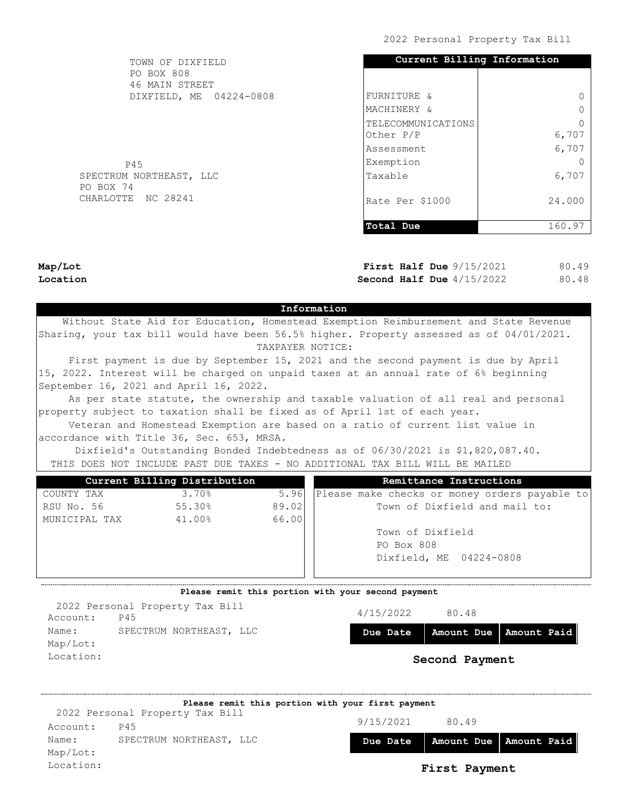| TOWN OF DIXFIELD                     | Current Billing Information     |        |
|--------------------------------------|---------------------------------|--------|
| <b>PO BOX 808</b><br>46 MAIN STREET  |                                 |        |
| DIXFIELD, ME 04224-0808              | FURNITURE &                     |        |
|                                      | MACHINERY &                     |        |
|                                      | TELECOMMUNICATIONS<br>Other P/P | 6,707  |
|                                      | Assessment                      | 6,707  |
| P45                                  | Exemption                       |        |
| SPECTRUM NORTHEAST, LLC<br>PO BOX 74 | Taxable                         | 6,707  |
| CHARLOTTE NC 28241                   | Rate Per \$1000                 | 24.000 |
|                                      | Total Due                       | 160.97 |
|                                      |                                 |        |

Map/Lot Location

First Half Due  $9/15/2021$ Second Half Due  $4/15/2022$ 80.49 80.48

#### Information

 Without State Aid for Education, Homestead Exemption Reimbursement and State Revenue Sharing, your tax bill would have been 56.5% higher. Property assessed as of 04/01/2021. TAXPAYER NOTICE:

 First payment is due by September 15, 2021 and the second payment is due by April 15, 2022. Interest will be charged on unpaid taxes at an annual rate of 6% beginning September 16, 2021 and April 16, 2022.

 As per state statute, the ownership and taxable valuation of all real and personal property subject to taxation shall be fixed as of April 1st of each year.

 Veteran and Homestead Exemption are based on a ratio of current list value in accordance with Title 36, Sec. 653, MRSA.

 Dixfield's Outstanding Bonded Indebtedness as of 06/30/2021 is \$1,820,087.40. THIS DOES NOT INCLUDE PAST DUE TAXES - NO ADDITIONAL TAX BILL WILL BE MAILED

|               | Current Billing Distribution |       | Remittance Instructions                       |
|---------------|------------------------------|-------|-----------------------------------------------|
| COUNTY TAX    | 3.70%                        | 5.96  | Please make checks or money orders payable to |
| RSU No. 56    | 55.30%                       | 89.02 | Town of Dixfield and mail to:                 |
| MUNICIPAL TAX | 41.00%                       | 66.00 |                                               |
|               |                              |       | Town of Dixfield                              |
|               |                              |       | PO Box 808                                    |
|               |                              |       | Dixfield, ME 04224-0808                       |
|               |                              |       |                                               |

### Please remit this portion with your second payment

4/15/2022 80.48 Due Date | Amount Due | Amount Paid Second Payment Account: P45 Name: SPECTRUM NORTHEAST, LLC Map/Lot: Location: 2022 Personal Property Tax Bill

9/15/2021 80.49 Due Date Amount Due Amount Paid Account: P45 Name: SPECTRUM NORTHEAST, LLC Map/Lot: Location: First Payment Please remit this portion with your first payment 2022 Personal Property Tax Bill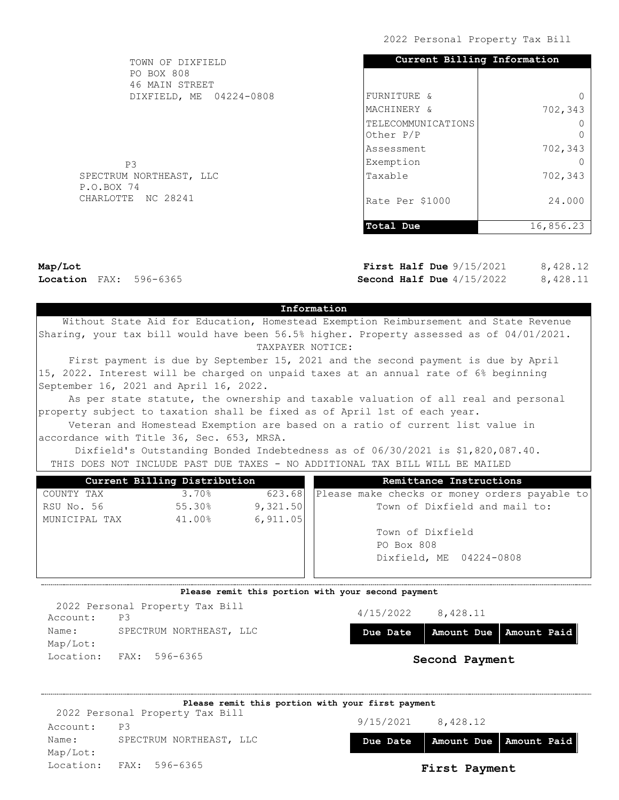| TOWN OF DIXFIELD                      | Current Billing Information     |           |
|---------------------------------------|---------------------------------|-----------|
| PO BOX 808<br>46 MAIN STREET          |                                 |           |
| DIXFIELD, ME 04224-0808               | FURNITURE &                     |           |
|                                       | MACHINERY &                     | 702,343   |
|                                       | TELECOMMUNICATIONS<br>Other P/P |           |
|                                       | Assessment                      | 702,343   |
| P <sub>3</sub>                        | Exemption                       |           |
| SPECTRUM NORTHEAST, LLC<br>P.O.BOX 74 | Taxable                         | 702,343   |
| CHARLOTTE NC 28241                    | Rate Per \$1000                 | 24,000    |
|                                       | Total Due                       | 16,856.23 |

Map/Lot Location FAX: 596-6365

First Half Due  $9/15/2021$ Second Half Due  $4/15/2022$ 8,428.12 8,428.11

## Information

 Without State Aid for Education, Homestead Exemption Reimbursement and State Revenue Sharing, your tax bill would have been 56.5% higher. Property assessed as of 04/01/2021. TAXPAYER NOTICE:

 First payment is due by September 15, 2021 and the second payment is due by April 15, 2022. Interest will be charged on unpaid taxes at an annual rate of 6% beginning September 16, 2021 and April 16, 2022.

 As per state statute, the ownership and taxable valuation of all real and personal property subject to taxation shall be fixed as of April 1st of each year.

 Veteran and Homestead Exemption are based on a ratio of current list value in accordance with Title 36, Sec. 653, MRSA.

 Dixfield's Outstanding Bonded Indebtedness as of 06/30/2021 is \$1,820,087.40. THIS DOES NOT INCLUDE PAST DUE TAXES - NO ADDITIONAL TAX BILL WILL BE MAILED

|               | Current Billing Distribution |          | Remittance Instructions                       |
|---------------|------------------------------|----------|-----------------------------------------------|
| COUNTY TAX    | 3.70%                        | 623.68   | Please make checks or money orders payable to |
| RSU No. 56    | 55.30%                       | 9,321.50 | Town of Dixfield and mail to:                 |
| MUNICIPAL TAX | 41.00%                       | 6,911.05 |                                               |
|               |                              |          | Town of Dixfield                              |
|               |                              |          | PO Box 808                                    |
|               |                              |          | Dixfield, ME 04224-0808                       |
|               |                              |          |                                               |
|               |                              |          |                                               |

#### Please remit this portion with your second payment

Account: P3 Name: SPECTRUM NORTHEAST, LLC Map/Lot: Location: FAX: 596-6365 2022 Personal Property Tax Bill

4/15/2022 8,428.11

Due Date | Amount Due | Amount Paid

|          | Please remit this portion with your first payment |           |               |                          |
|----------|---------------------------------------------------|-----------|---------------|--------------------------|
|          | 2022 Personal Property Tax Bill                   |           |               |                          |
| Account: | P <sub>3</sub>                                    | 9/15/2021 | 8,428.12      |                          |
| Name:    | SPECTRUM NORTHEAST, LLC                           | Due Date  |               | Amount Due   Amount Paid |
| Map/Lot: |                                                   |           |               |                          |
|          | Location: FAX: 596-6365                           |           | First Payment |                          |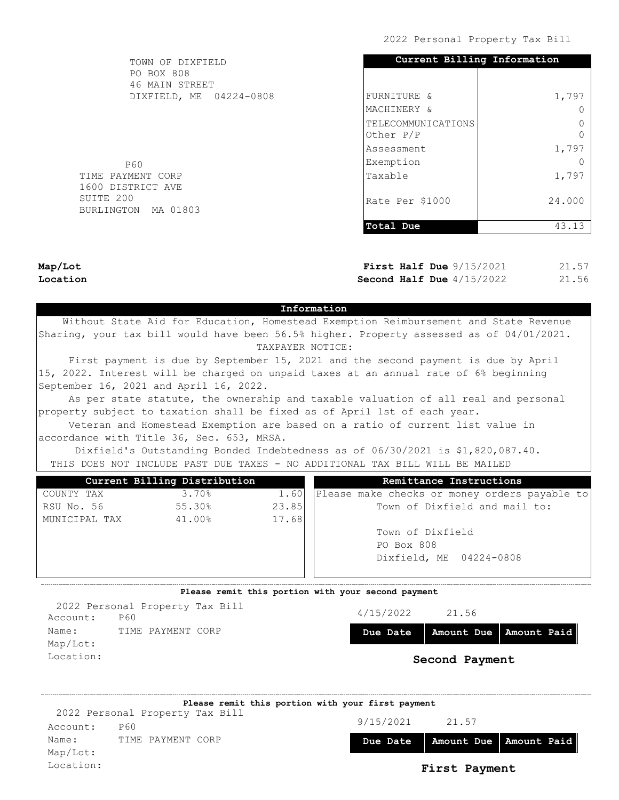| TOWN OF DIXFIELD                 | Current Billing Information |        |
|----------------------------------|-----------------------------|--------|
| PO BOX 808<br>46 MAIN STREET     |                             |        |
| DIXFIELD, ME 04224-0808          | FURNITURE &                 | 1,797  |
|                                  | MACHINERY &                 |        |
|                                  | TELECOMMUNICATIONS          |        |
|                                  | Other P/P                   |        |
|                                  | Assessment                  | 1,797  |
| P60                              | Exemption                   |        |
| TIME PAYMENT CORP                | Taxable                     | 1,797  |
| 1600 DISTRICT AVE                |                             |        |
| SUITE 200<br>BURLINGTON MA 01803 | Rate Per \$1000             | 24,000 |
|                                  |                             |        |
|                                  | Total Due                   | 43.13  |
|                                  |                             |        |

Map/Lot Location

First Half Due  $9/15/2021$ Second Half Due  $4/15/2022$ 21.57 21.56

## Information

 Without State Aid for Education, Homestead Exemption Reimbursement and State Revenue Sharing, your tax bill would have been 56.5% higher. Property assessed as of 04/01/2021. TAXPAYER NOTICE:

 First payment is due by September 15, 2021 and the second payment is due by April 15, 2022. Interest will be charged on unpaid taxes at an annual rate of 6% beginning September 16, 2021 and April 16, 2022.

 As per state statute, the ownership and taxable valuation of all real and personal property subject to taxation shall be fixed as of April 1st of each year.

 Veteran and Homestead Exemption are based on a ratio of current list value in accordance with Title 36, Sec. 653, MRSA.

 Dixfield's Outstanding Bonded Indebtedness as of 06/30/2021 is \$1,820,087.40. THIS DOES NOT INCLUDE PAST DUE TAXES - NO ADDITIONAL TAX BILL WILL BE MAILED

| Current Billing Distribution |        |       | Remittance Instructions                       |
|------------------------------|--------|-------|-----------------------------------------------|
| COUNTY TAX                   | 3.70%  | 1.60  | Please make checks or money orders payable to |
| RSU No. 56                   | 55.30% | 23.85 | Town of Dixfield and mail to:                 |
| MUNICIPAL TAX                | 41.00% | 17.68 |                                               |
|                              |        |       | Town of Dixfield                              |
|                              |        |       | PO Box 808                                    |
|                              |        |       | Dixfield, ME 04224-0808                       |
|                              |        |       |                                               |

### Please remit this portion with your second payment

4/15/2022 21.56 Due Date | Amount Due | Amount Paid Second Payment Account: P60 Name: TIME PAYMENT CORP Map/Lot: Location: 2022 Personal Property Tax Bill

|           | Please remit this portion with your first payment |          |                                                                   |  |
|-----------|---------------------------------------------------|----------|-------------------------------------------------------------------|--|
|           | 2022 Personal Property Tax Bill                   |          |                                                                   |  |
| Account:  | <b>P60</b>                                        |          |                                                                   |  |
| Name:     | TIME PAYMENT CORP                                 | Due Date |                                                                   |  |
| Map/Lot:  |                                                   |          |                                                                   |  |
| Location: |                                                   |          | 9/15/2021<br>21.57<br>Amount Due   Amount Paid  <br>First Payment |  |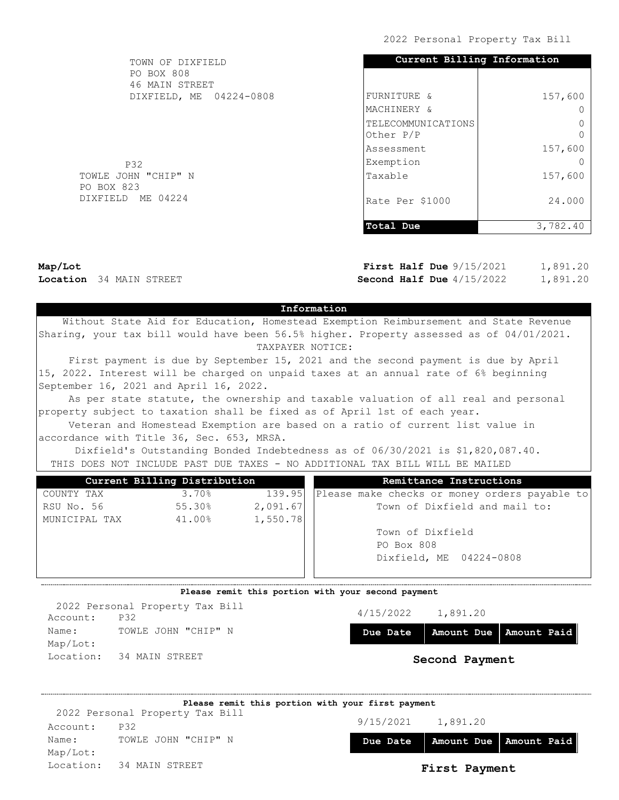| TOWN OF DIXFIELD                  | Current Billing Information     |          |
|-----------------------------------|---------------------------------|----------|
| PO BOX 808<br>46 MAIN STREET      |                                 |          |
| DIXFIELD, ME 04224-0808           | FURNITURE &                     | 157,600  |
|                                   | MACHINERY &                     |          |
|                                   | TELECOMMUNICATIONS<br>Other P/P |          |
|                                   | Assessment                      | 157,600  |
| <b>P32</b>                        | Exemption                       |          |
| TOWLE JOHN "CHIP" N<br>PO BOX 823 | Taxable                         | 157,600  |
| DIXFIELD ME 04224                 | Rate Per \$1000                 | 24,000   |
|                                   | Total Due                       | 3,782.40 |

Map/Lot Location 34 MAIN STREET

First Half Due  $9/15/2021$ Second Half Due  $4/15/2022$ 1,891.20 1,891.20

### Information

 Without State Aid for Education, Homestead Exemption Reimbursement and State Revenue Sharing, your tax bill would have been 56.5% higher. Property assessed as of 04/01/2021. TAXPAYER NOTICE:

 First payment is due by September 15, 2021 and the second payment is due by April 15, 2022. Interest will be charged on unpaid taxes at an annual rate of 6% beginning September 16, 2021 and April 16, 2022.

 As per state statute, the ownership and taxable valuation of all real and personal property subject to taxation shall be fixed as of April 1st of each year.

 Veteran and Homestead Exemption are based on a ratio of current list value in accordance with Title 36, Sec. 653, MRSA.

 Dixfield's Outstanding Bonded Indebtedness as of 06/30/2021 is \$1,820,087.40. THIS DOES NOT INCLUDE PAST DUE TAXES - NO ADDITIONAL TAX BILL WILL BE MAILED

|        |          | Remittance Instructions                       |
|--------|----------|-----------------------------------------------|
| 3.70%  | 139.95   | Please make checks or money orders payable to |
| 55.30% | 2,091.67 | Town of Dixfield and mail to:                 |
| 41.00% |          |                                               |
|        |          | Town of Dixfield                              |
|        |          | PO Box 808                                    |
|        |          | Dixfield, ME 04224-0808                       |
|        |          |                                               |
|        |          | Current Billing Distribution<br>1,550.78      |

### Please remit this portion with your second payment

4/15/2022 1,891.20 Due Date | Amount Due | Amount Paid Second Payment Account: P32 Name: TOWLE JOHN "CHIP" N Map/Lot: Location: 34 MAIN STREET 2022 Personal Property Tax Bill

|          | Please remit this portion with your first payment |           |               |                                     |
|----------|---------------------------------------------------|-----------|---------------|-------------------------------------|
|          | 2022 Personal Property Tax Bill                   |           |               |                                     |
| Account: | P32                                               | 9/15/2021 | 1,891.20      |                                     |
| Name:    | TOWLE JOHN "CHIP" N                               |           |               | Due Date   Amount Due   Amount Paid |
| Map/Lot: |                                                   |           |               |                                     |
|          | Location: 34 MAIN STREET                          |           | First Payment |                                     |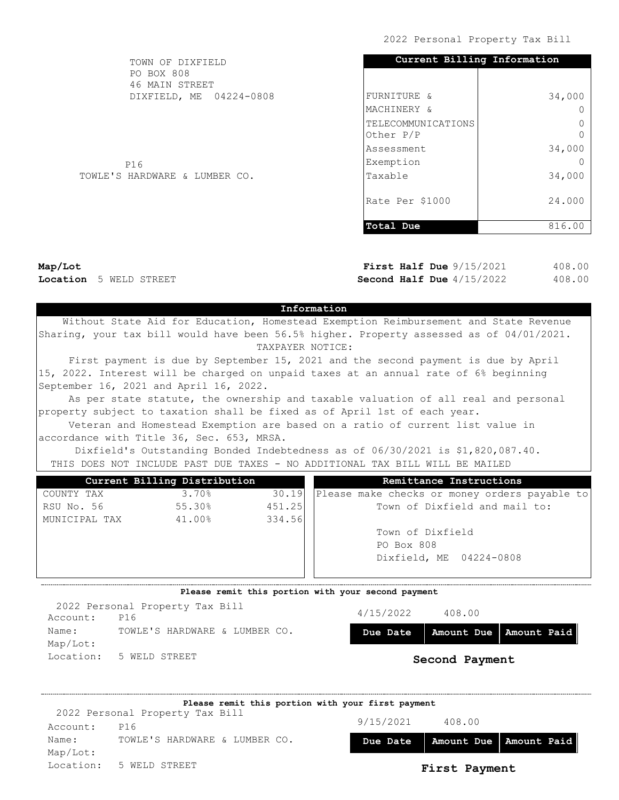| TOWN OF DIXFIELD              | Current Billing Information     |        |  |  |
|-------------------------------|---------------------------------|--------|--|--|
| PO BOX 808<br>46 MAIN STREET  |                                 |        |  |  |
| DIXFIELD, ME 04224-0808       | FURNITURE &                     | 34,000 |  |  |
|                               | MACHINERY &                     | ∩      |  |  |
|                               | TELECOMMUNICATIONS<br>Other P/P |        |  |  |
|                               | lAssessment                     | 34,000 |  |  |
| P16                           | Exemption                       |        |  |  |
| TOWLE'S HARDWARE & LUMBER CO. | Taxable                         | 34,000 |  |  |
|                               | Rate Per \$1000                 | 24,000 |  |  |
|                               | Total Due                       | 816.00 |  |  |

Map/Lot Location 5 WELD STREET

First Half Due  $9/15/2021$ Second Half Due  $4/15/2022$ 408.00 408.00

### Information

 Without State Aid for Education, Homestead Exemption Reimbursement and State Revenue Sharing, your tax bill would have been 56.5% higher. Property assessed as of 04/01/2021. TAXPAYER NOTICE:

 First payment is due by September 15, 2021 and the second payment is due by April 15, 2022. Interest will be charged on unpaid taxes at an annual rate of 6% beginning September 16, 2021 and April 16, 2022.

 As per state statute, the ownership and taxable valuation of all real and personal property subject to taxation shall be fixed as of April 1st of each year.

 Veteran and Homestead Exemption are based on a ratio of current list value in accordance with Title 36, Sec. 653, MRSA.

 Dixfield's Outstanding Bonded Indebtedness as of 06/30/2021 is \$1,820,087.40. THIS DOES NOT INCLUDE PAST DUE TAXES - NO ADDITIONAL TAX BILL WILL BE MAILED

| Current Billing Distribution |        |        | Remittance Instructions                       |
|------------------------------|--------|--------|-----------------------------------------------|
| COUNTY TAX                   | 3.70%  | 30.19  | Please make checks or money orders payable to |
| RSU No. 56                   | 55.30% | 451.25 | Town of Dixfield and mail to:                 |
| MUNICIPAL TAX                | 41.00% | 334.56 |                                               |
|                              |        |        | Town of Dixfield                              |
|                              |        |        | PO Box 808                                    |
|                              |        |        | Dixfield, ME 04224-0808                       |
|                              |        |        |                                               |

#### Please remit this portion with your second payment

4/15/2022 408.00 Due Date | Amount Due | Amount Paid Second Payment Account: P16 Name: TOWLE'S HARDWARE & LUMBER CO. Map/Lot: Location: 5 WELD STREET 2022 Personal Property Tax Bill

|           | Please remit this portion with your first payment |           |               |                          |
|-----------|---------------------------------------------------|-----------|---------------|--------------------------|
|           | 2022 Personal Property Tax Bill                   |           |               |                          |
| Account:  | P16                                               | 9/15/2021 | 408.00        |                          |
| Name:     | TOWLE'S HARDWARE & LUMBER CO.                     | Due Date  |               | Amount Due   Amount Paid |
| Map/Lot:  |                                                   |           |               |                          |
| Location: | 5 WELD STREET                                     |           | First Payment |                          |